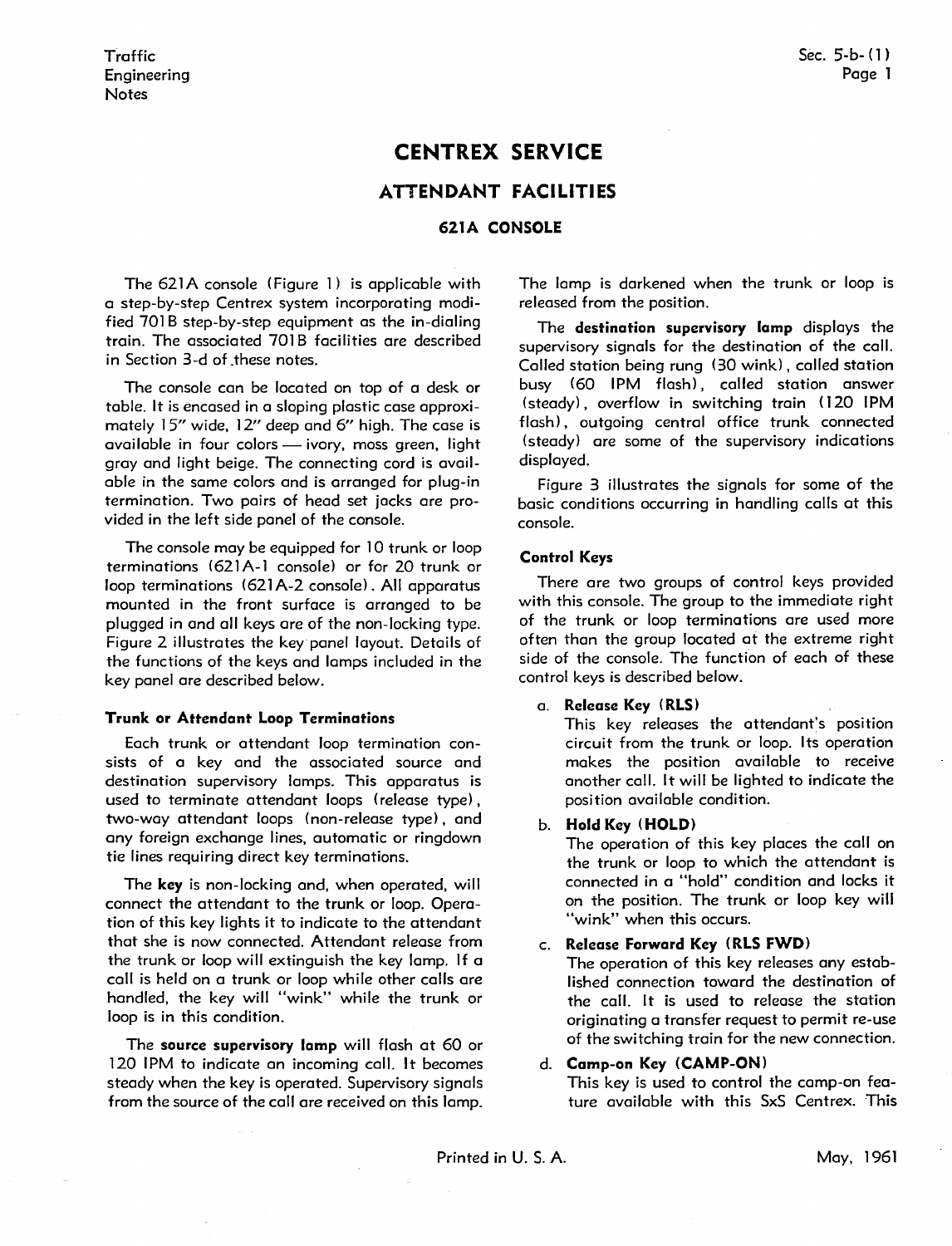# **CENTREX SERVICE**

# **ATTENDANT FACILITIES**

#### **621A CONSOLE**

The  $621A$  console (Figure 1) is applicable with a step-by-step Centrex system incorporating modified 701 B step-by-step equipment as the in-dialing train. The associated 701B facilities are described in Section 3-d of these notes.

The console can be located on top of a desk or table. It is encased in a sloping plastic case approximately l 5" wide, 12" deep and 6" high. The case is available in four colors - ivory, moss green, light gray and light beige. The connecting cord is available in the same colors and is arranged for plug-in termination. Two pairs of head set jacks are provided in the left side panel of the console.

The console may be equipped for 10 trunk or loop terminations (621 **A-1** console) or for 20 trunk or loop terminations (621 A-2 console). **All** apparatus mounted in the front surface is arranged to be plugged in and all keys are of the non-locking type. Figure 2 illustrates the key panel layout. Details of the functions of the keys and lamps included in the key panel are described below.

#### **Trunk or Attendant Loop Terminations**

Each trunk or attendant loop termination consists of a key and the associated source and destination supervisory lamps. This apparatus is used to terminate attendant loops (release type), two-way attendant loops (non-release type), and any foreign exchange lines, automatic or ringdown tie lines requiring direct key terminations.

The **key** is non-locking and, when operated, will connect the attendant to the trunk or loop. Operation of this key lights it to indicate to the attendant that she is now connected. Attendant release from the trunk or loop will extinguish the key lamp. If a call is held on a trunk or loop while other calls are handled, the key will "wink" while the trunk or loop is in this condition.

The **source supervisory lamp** will flash at 60 or 120 IPM to indicate an incoming call. It becomes steady when the key is operated. Supervisory signals from the source of the call are received on this lamp. The lamp is darkened when the trunk or loop is released from the position.

The **destination supervisory lamp** displays the supervisory signals for the destination of the call. Called station being rung (30 wink), called station busy (60 1PM flash), called station answer (steady), overflow in switching train ( 120 1PM flash), outgoing central office trunk connected (steady) are some of the supervisory indications displayed.

Figure 3 illustrates the signals for some of the basic conditions occurring in handling calls at this console.

#### **Control Keys**

There are two groups of control keys provided with this console. The group to the immediate right of the trunk or loop terminations are used more often than the group located at the extreme right side of the console. The function of each of these control keys is described below.

#### a. **Release Key (RLS)**

This key releases the attendant's position circuit from the trunk or loop. Its operation makes the position available to receive another call. It will be lighted to indicate the position available condition.

#### b. **Hold Key (HOLD)**

The operation of this key places the call on the trunk or loop to which the attendant is connected in a "hold" condition and locks it on the position. The trunk or loop key will "wink" when this occurs.

#### c. **Release Forward Key** ( **RLS FWD)**

The operation of this key releases any established connection toward the destination of the call. It is used to release the station originating a transfer request to permit re-use of the switching train for the new connection.

#### d. **Camp-on Key (CAMP-ON)**

This key is used to control the camp-on feature available with this SxS Centrex. This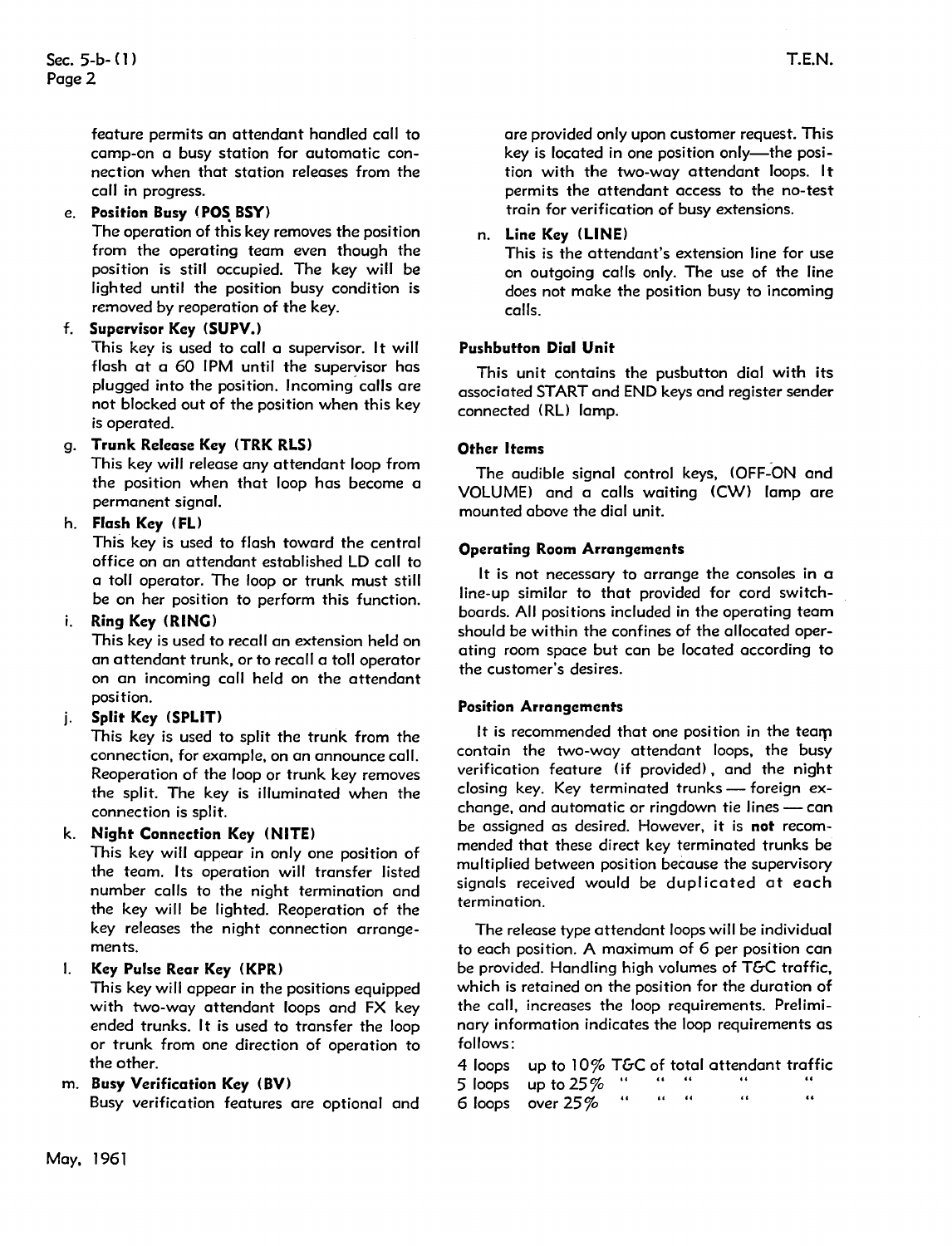feature permits an attendant handled call to camp-on a busy station for automatic connection when that station releases from the call in progress.

# e. **Position Busy** (POS BSY)

The operation of this key removes the position from the operating team even though the position is still occupied. The key will be lighted until the position busy condition is removed by reoperation of the key.

# f. **Supervisor Key (SUPV.)**

This key is used to call a supervisor. It will flash at a 60 IPM until the supervisor has plugged into the position. Incoming- calls are not blocked out of the position when this key is operated.

# g. **Trunk Release Key (TRK RLS)**

This key will release any attendant loop from the position when that loop has become a permanent signal.

# h. **Flash Key (FL)**

This key is used to flash toward the central office on an attendant established LD call to a toll operator. The loop or trunk must still be on her position to perform this function.

#### i. **Ring Key (RINC)**

This key is used to recall an extension held on an attendant trunk, or to recall a toll operator on an incoming call held on the attendant position.

#### j. **Split Key (SPLIT)**

This key is used to split the trunk from the connection, for example, on an announce call. Reoperation of the loop or trunk key removes the split. The key is illuminated when the connection is split.

#### k. **Night Connection Key (NITE)**

This key will appear in only one position of the team. Its operation will transfer listed number calls to the night termination and the key will be lighted. Reoperation of the key releases the night connection arrangements.

#### I. **Key Pulse Rear Key (KPR)**

This key will appear in the positions equipped with two-way attendant loops and FX key ended trunks. It is used to transfer the loop or trunk from one direction of operation to the other.

#### m. **Busy Verification Key (BV)**

Busy verification features are optional and

are provided only upon customer request. This key is located in one position only-the position with the two-way attendant loops. It permits the attendant access to the no-test train for verification of busy extensions.

#### n. **Line Key (LINE)**

This is the attendant's extension line for use on outgoing calls only. The use of the line does not make the position busy to incoming calls.

#### **Pushbutton Dial Unit**

This unit contains the pusbutton dial with its associated START and END keys and register sender connected (RL) lamp.

#### **Other Items**

The audible signal control keys, (OFF-ON and VOLUME) and a calls waiting (CW) lamp are mounted above the dial unit.

#### **Operating Room Arrangements**

It is not necessary to arrange the consoles in a line-up similar to that provided for cord switchboards. All positions included in the operating team should be within the confines of the allocated operating room space but can be located according to the customer's desires.

#### **Position Arrangements**

It is recommended that one position in the team contain the two-way attendant loops, the busy verification feature (if provided) , and the night closing key. Key terminated trunks - foreign exchange, and automatic or ringdown tie lines - can be assigned as desired. However, it is **not** recommended that these direct key terminated trunks be multiplied between position because the supervisory signals received would be duplicated at each termination.

The release type attendant loops will be individual to each position. A maximum of 6 per position can be provided. Handling high volumes of T&C traffic, which is retained on the position for the duration of the call, increases the loop requirements. Preliminary information indicates the loop requirements as follows:

| 4 loops up to 10% TGC of total attendant traffic |      |  |    |
|--------------------------------------------------|------|--|----|
| 5 loops up to 25 $\%$ "                          |      |  |    |
| 6 loops over 25 $\%$                             | - 44 |  | 56 |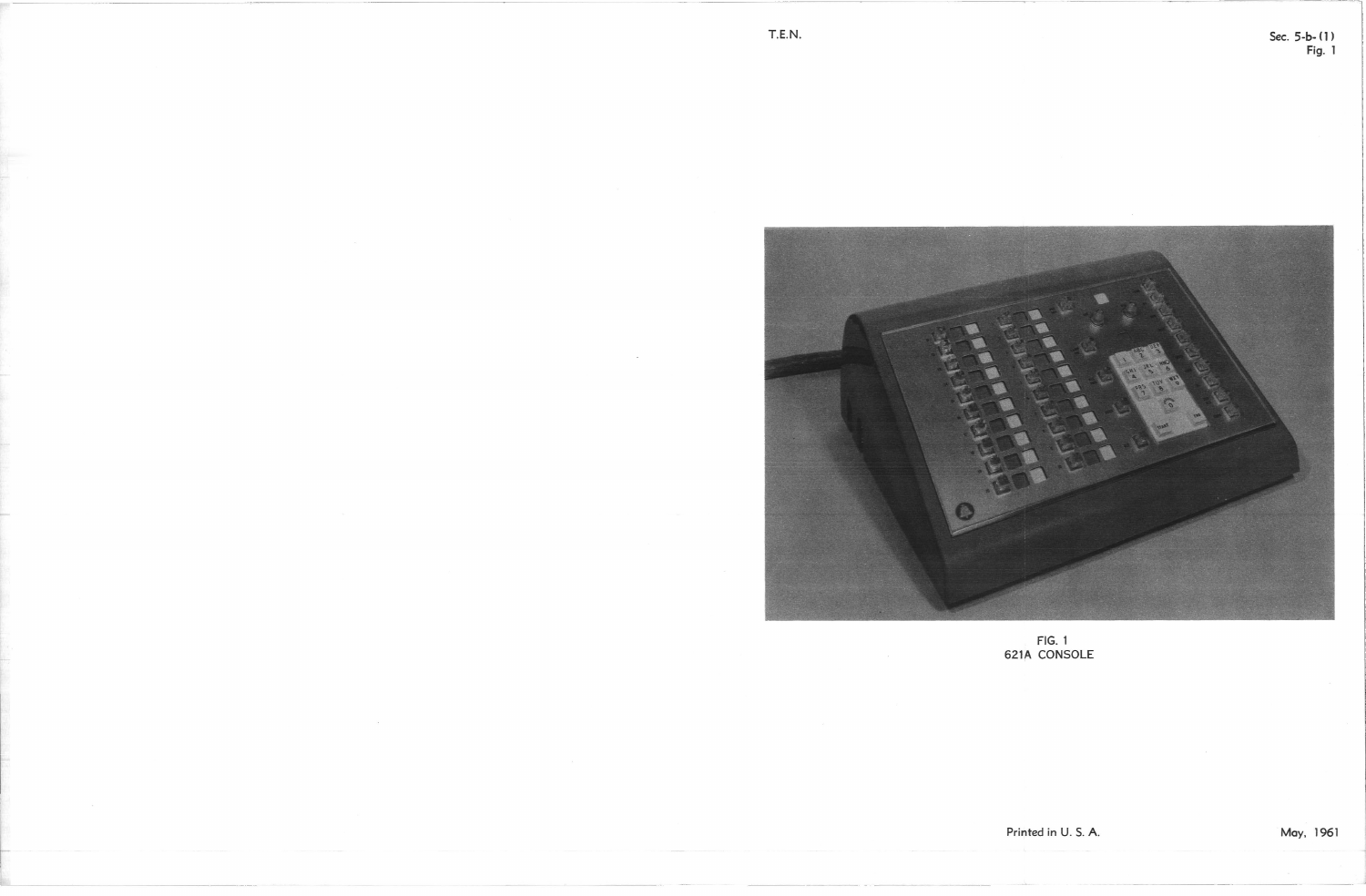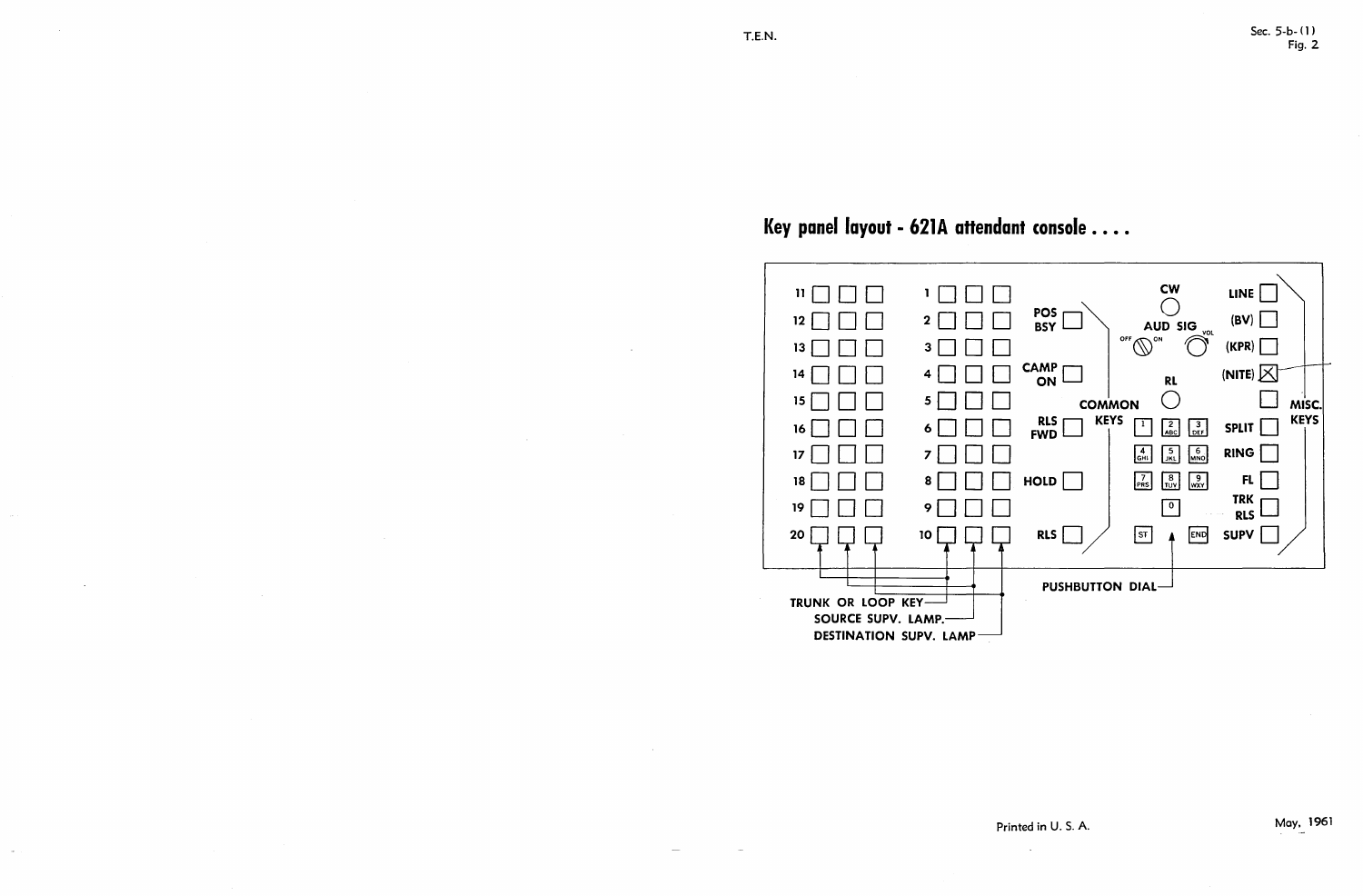$\sim$ 

 $\Delta \sim$ 

 $\mathcal{L}$ 

# **Key panel layout - 621A attendant console** ....

Sec. 5-b- (1) Fig. 2



Printed in U.S. A.

 $\sim$ 

May, 1961